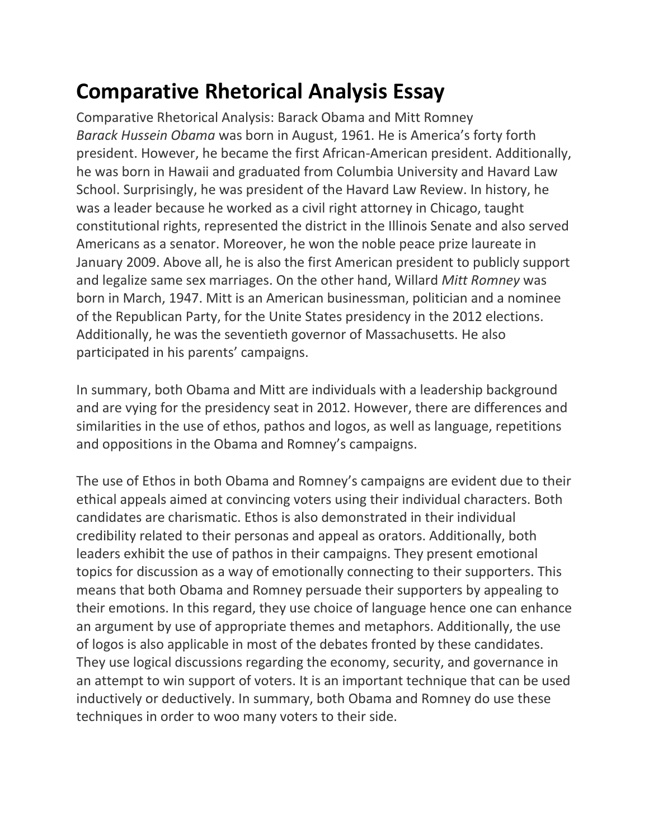## **Comparative Rhetorical Analysis Essay**

Comparative Rhetorical Analysis: Barack Obama and Mitt Romney *Barack Hussein Obama* was born in August, 1961. He is America's forty forth president. However, he became the first African-American president. Additionally, he was born in Hawaii and graduated from Columbia University and Havard Law School. Surprisingly, he was president of the Havard Law Review. In history, he was a leader because he worked as a civil right attorney in Chicago, taught constitutional rights, represented the district in the Illinois Senate and also served Americans as a senator. Moreover, he won the noble peace prize laureate in January 2009. Above all, he is also the first American president to publicly support and legalize same sex marriages. On the other hand, Willard *Mitt Romney* was born in March, 1947. Mitt is an American businessman, politician and a nominee of the Republican Party, for the Unite States presidency in the 2012 elections. Additionally, he was the seventieth governor of Massachusetts. He also participated in his parents' campaigns.

In summary, both Obama and Mitt are individuals with a leadership background and are vying for the presidency seat in 2012. However, there are differences and similarities in the use of ethos, pathos and logos, as well as language, repetitions and oppositions in the Obama and Romney's campaigns.

The use of Ethos in both Obama and Romney's campaigns are evident due to their ethical appeals aimed at convincing voters using their individual characters. Both candidates are charismatic. Ethos is also demonstrated in their individual credibility related to their personas and appeal as orators. Additionally, both leaders exhibit the use of pathos in their campaigns. They present emotional topics for discussion as a way of emotionally connecting to their supporters. This means that both Obama and Romney persuade their supporters by appealing to their emotions. In this regard, they use choice of language hence one can enhance an argument by use of appropriate themes and metaphors. Additionally, the use of logos is also applicable in most of the debates fronted by these candidates. They use logical discussions regarding the economy, security, and governance in an attempt to win support of voters. It is an important technique that can be used inductively or deductively. In summary, both Obama and Romney do use these techniques in order to woo many voters to their side.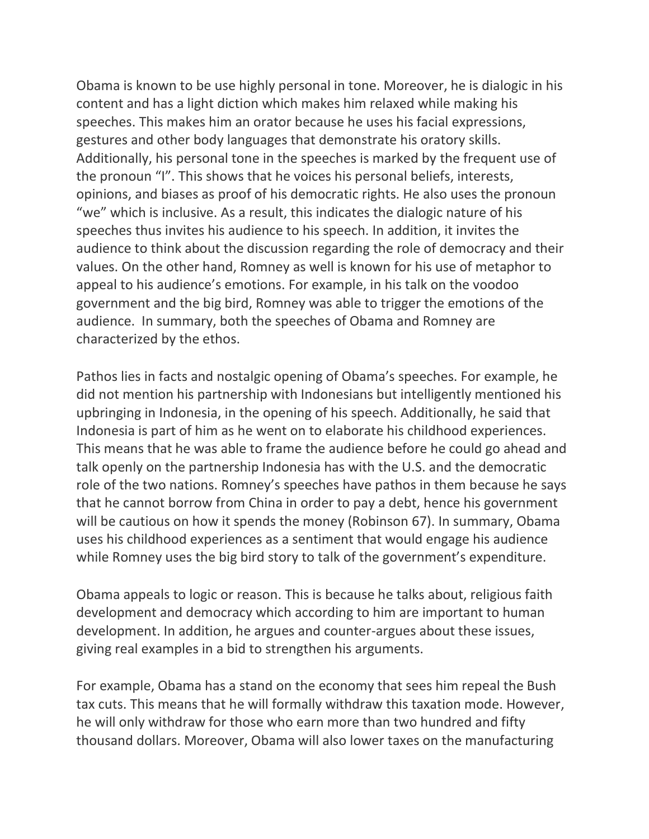Obama is known to be use highly personal in tone. Moreover, he is dialogic in his content and has a light diction which makes him relaxed while making his speeches. This makes him an orator because he uses his facial expressions, gestures and other body languages that demonstrate his oratory skills. Additionally, his personal tone in the speeches is marked by the frequent use of the pronoun "I". This shows that he voices his personal beliefs, interests, opinions, and biases as proof of his democratic rights. He also uses the pronoun "we" which is inclusive. As a result, this indicates the dialogic nature of his speeches thus invites his audience to his speech. In addition, it invites the audience to think about the discussion regarding the role of democracy and their values. On the other hand, Romney as well is known for his use of metaphor to appeal to his audience's emotions. For example, in his talk on the voodoo government and the big bird, Romney was able to trigger the emotions of the audience. In summary, both the speeches of Obama and Romney are characterized by the ethos.

Pathos lies in facts and nostalgic opening of Obama's speeches. For example, he did not mention his partnership with Indonesians but intelligently mentioned his upbringing in Indonesia, in the opening of his speech. Additionally, he said that Indonesia is part of him as he went on to elaborate his childhood experiences. This means that he was able to frame the audience before he could go ahead and talk openly on the partnership Indonesia has with the U.S. and the democratic role of the two nations. Romney's speeches have pathos in them because he says that he cannot borrow from China in order to pay a debt, hence his government will be cautious on how it spends the money (Robinson 67). In summary, Obama uses his childhood experiences as a sentiment that would engage his audience while Romney uses the big bird story to talk of the government's expenditure.

Obama appeals to logic or reason. This is because he talks about, religious faith development and democracy which according to him are important to human development. In addition, he argues and counter-argues about these issues, giving real examples in a bid to strengthen his arguments.

For example, Obama has a stand on the economy that sees him repeal the Bush tax cuts. This means that he will formally withdraw this taxation mode. However, he will only withdraw for those who earn more than two hundred and fifty thousand dollars. Moreover, Obama will also lower taxes on the manufacturing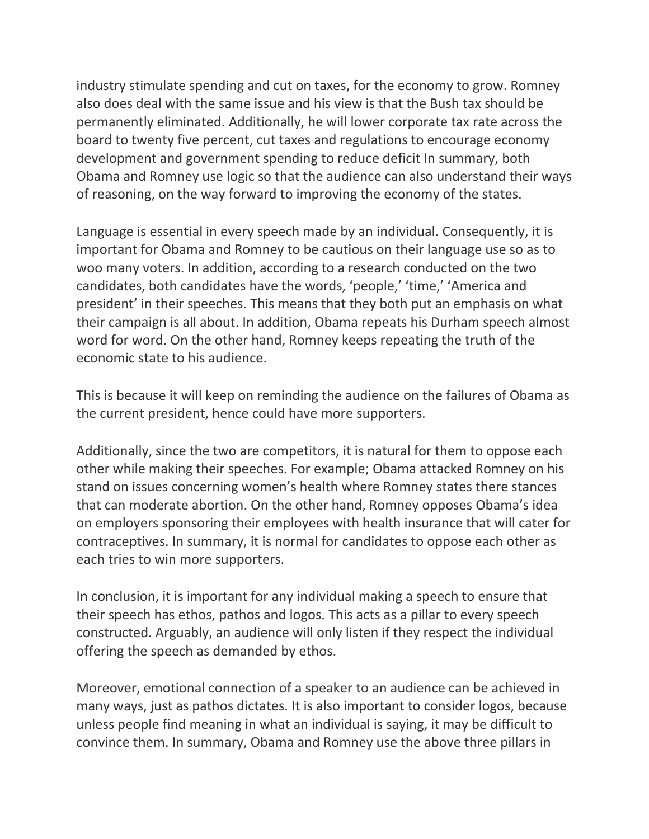industry stimulate spending and cut on taxes, for the economy to grow. Romney also does deal with the same issue and his view is that the Bush tax should be permanently eliminated. Additionally, he will lower corporate tax rate across the board to twenty five percent, cut taxes and regulations to encourage economy development and government spending to reduce deficit In summary, both Obama and Romney use logic so that the audience can also understand their ways of reasoning, on the way forward to improving the economy of the states.

Language is essential in every speech made by an individual. Consequently, it is important for Obama and Romney to be cautious on their language use so as to woo many voters. In addition, according to a research conducted on the two candidates, both candidates have the words, 'people,' 'time,' 'America and president' in their speeches. This means that they both put an emphasis on what their campaign is all about. In addition, Obama repeats his Durham speech almost word for word. On the other hand, Romney keeps repeating the truth of the economic state to his audience.

This is because it will keep on reminding the audience on the failures of Obama as the current president, hence could have more supporters.

Additionally, since the two are competitors, it is natural for them to oppose each other while making their speeches. For example; Obama attacked Romney on his stand on issues concerning women's health where Romney states there stances that can moderate abortion. On the other hand, Romney opposes Obama's idea on employers sponsoring their employees with health insurance that will cater for contraceptives. In summary, it is normal for candidates to oppose each other as each tries to win more supporters.

In conclusion, it is important for any individual making a speech to ensure that their speech has ethos, pathos and logos. This acts as a pillar to every speech constructed. Arguably, an audience will only listen if they respect the individual offering the speech as demanded by ethos.

Moreover, emotional connection of a speaker to an audience can be achieved in many ways, just as pathos dictates. It is also important to consider logos, because unless people find meaning in what an individual is saying, it may be difficult to convince them. In summary, Obama and Romney use the above three pillars in